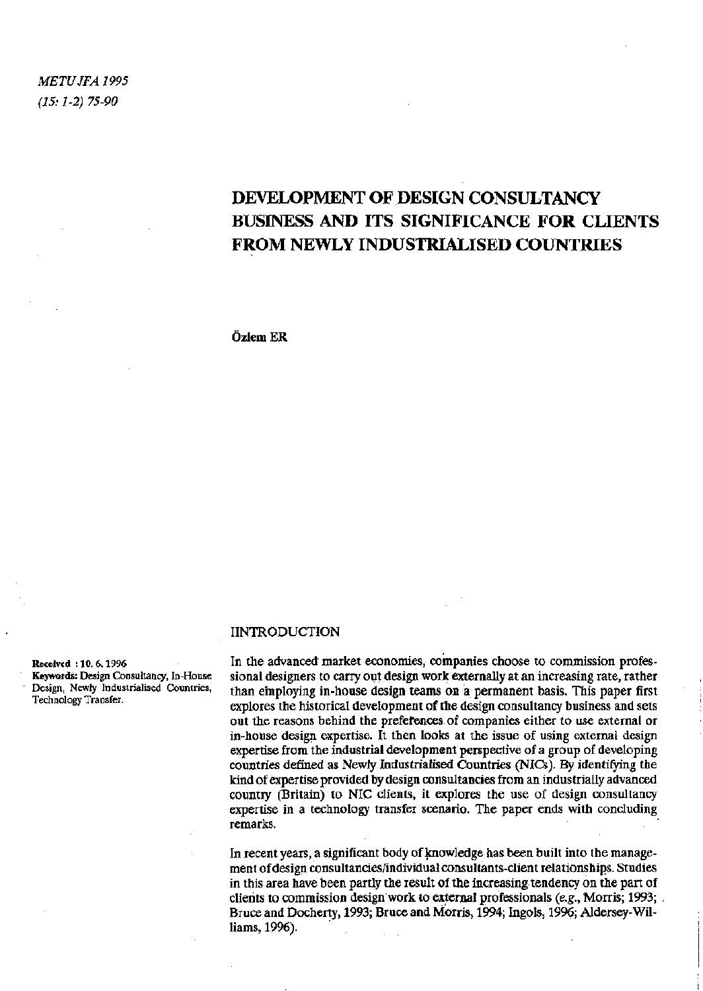*METUJFA 1995 (15:1-2) 75-90* 

# DEVELOPMENT OF DESIGN CONSULTANCY BUSINESS AND ITS SIGNIFICANCE FOR CLIENTS FROM NEWLY INDUSTRIALISED COUNTRIES

Özlem ER

#### IINTRODUCTION

In the advanced market economies, companies choose to commission professional designers to carry out design work externally at an increasing rate, rather than employing in-house design teams on a permanent basis. This paper first explores the historical development of the design consultancy business and sets out the reasons behind the preferences of companies either to use external or in-house design expertise. It then looks at the issue of using external design expertise from the industrial development perspective of a group of developing countries defined as Newly Industrialised Countries (NICs). By identifying the kind of expertise provided by design consultancies from an industrially advanced country (Britain) to NIC clients, it explores the use of design consultancy expertise in a technology transfer scenario. The paper ends with concluding remarks.

In recent years, a significant body of knowledge has been built into the management of design consultancies/individual consultants-client relationships. Studies in this area have been partly the result of the increasing tendency on the part of clients to commission design work to external professionals *(e.g.,* Morris; 1993; Bruce and Docherty, 1993; Bruce and Morris, 1994; Ingols, 1996; Aldersey-Williams, 1996).

Received : 10. 6.1996 Keywords: Design Consultancy, In-House Design, Newly Industrialised Countries, Technology Transfer.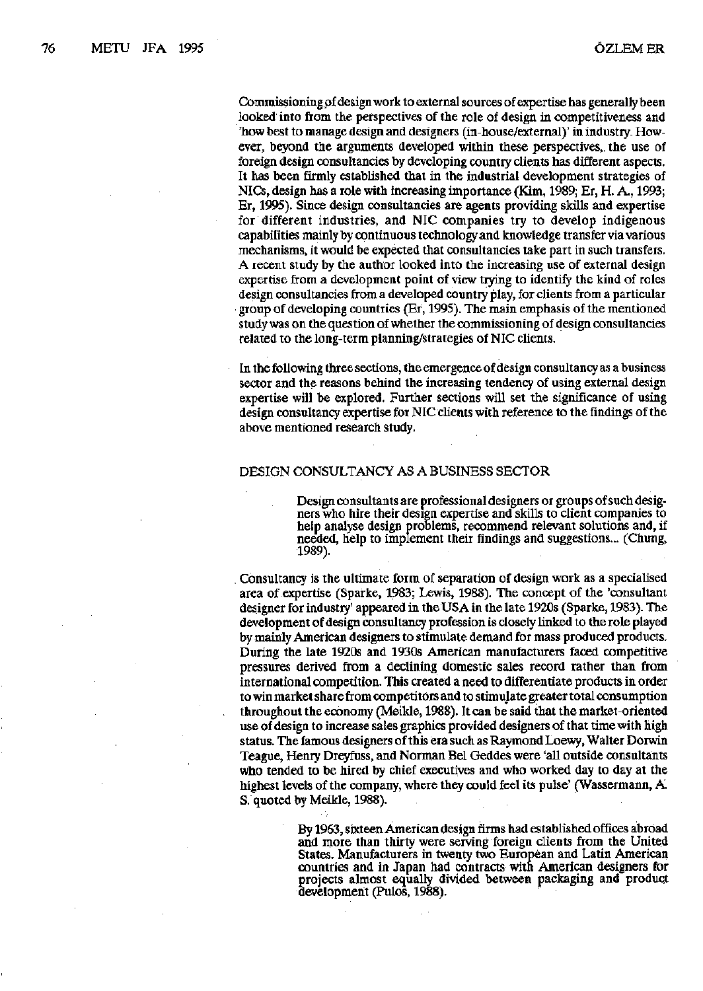Commissioning pf design work to external sources of expertise has generally been looked into from the perspectives of the role of design in competitiveness and 'how best to manage design and designers (in-house/external)' in industry. However, beyond the arguments developed within these perspectives,, the use of foreign design consultancies by developing country clients has different aspects. It has been firmly established that in the industrial development strategies of NICs, design has a role with increasing importance (Kim, 1989; Er, H. A., 1993; Er, 1995). Since design consultancies are agents providing skills and expertise for different industries, and NIC companies try to develop indigenous capabilities mainly by continuous technology-and knowledge transfer via various mechanisms, it would be expected that consultancies take part in such transfers. A recent study by the author looked into the increasing use of external design expertise from a development point of view trying to identify the kind of roles design consultancies from a developed country play, for clients from a particular group of developing countries (Er, 1995). The main emphasis of the mentioned study was on the question of whether the commissioning of design consultancies related to the long-term planning/strategies of NIC clients.

In the following three sections, the emergence of design consultancy as a business sector and the reasons behind the increasing tendency of using external design expertise will be explored. Further sections will set the significance of using design consultancy expertise for NIC clients with reference to the findings of the above mentioned research study.

#### DESIGN CONSULTANCY AS A BUSINESS SECTOR

Design consultants are professional designers or groups of such designers who hire their design expertise and skills to client companies to help analyse design problems, recommend relevant solutions and, if needed, help to implement their findings and suggestions... (Chung, 1989).

. Consultancy is the ultimate form of separation of design work as a specialised area of expertise (Sparke, 1983; Lewis, 1988). The concept of the 'consultant designer for industry' appeared in the USA in the late 1920s (Sparke, 1983). The development of design consultancy profession is closely linked to the role played by mainly American designers to stimulate demand for mass produced products. During the late 1920s and 1930s American manufacturers faced competitive pressures derived from a declining domestic sales record rather than from international competition. This created a need to differentiate products in order to win market share from competitors and to stimulate greater total consumption throughout the economy (Meikle, 1988). It can be said that the market-oriented use of design to increase sales graphics provided designers of that time with high status. The famous designers of this era such as Raymond Loewy, Walter Dorwin Teague, Henry Dreyfuss, and Norman Bel Geddes were 'all outside consultants who tended to be hired by chief executives and who worked day to day at the highest levels of the company, where they could feel its pulse' (Wassermann, A S. quoted by Meikle, 1988).

> By 1963, sixteen American design firms had established offices abroad and more than thirty were serving foreign clients from the United States. Manufacturers in twenty two European and Latin American countries and in Japan had contracts with American designers for projects almost equally divided between packaging and product development (Pulos, 1988).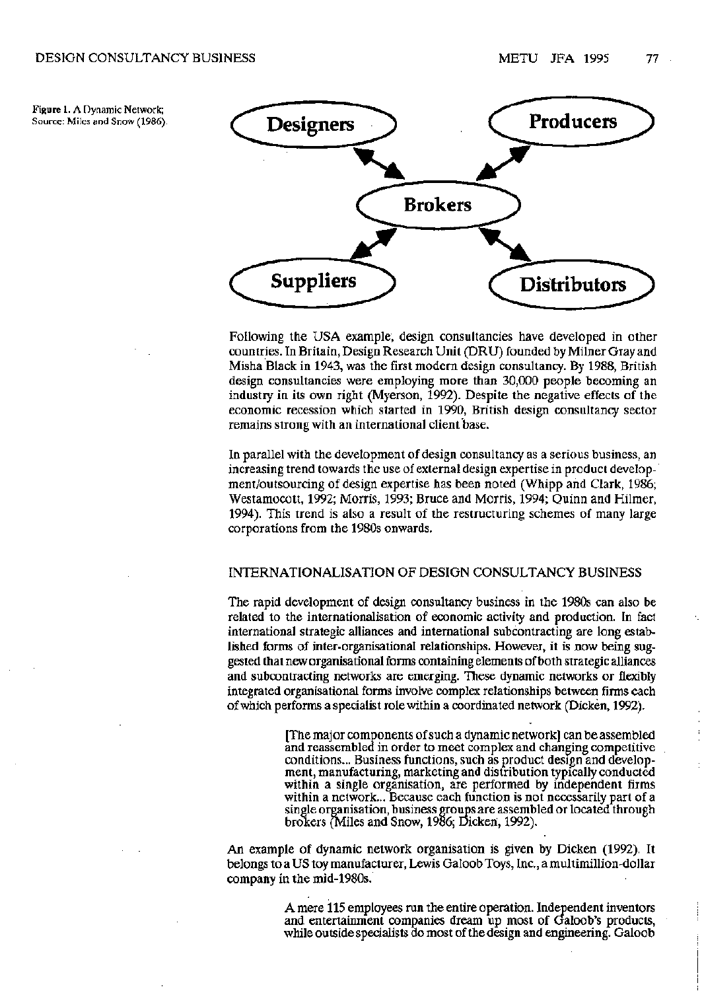Figure 1. A Dynamic Network;



Following the USA example, design consultancies have developed in other countries. In Britain, Design Research Unit (DRU) founded by Milner Gray and Misha Black in 1943, was the first modern design consultancy. By 1988, British design consultancies were employing more than 30,000 people becoming an industry in its own right (Myerson, 1992). Despite the negative effects of the economic recession which started in 1990, British design consultancy sector remains strong with an international client base.

In parallel with the development of design consultancy as a serious business, an increasing trend towards the use of external design expertise in product development/outsourcing of design expertise has been noted (Whipp and Clark, 1986; Westamocott, 1992; Morris, 1993; Bruce and Morris, 1994; Quinn and Hilmer, 1994). This trend is also a result of the restructuring schemes of many large corporations from the 1980s onwards.

# INTERNATIONALISATION OF DESIGN CONSULTANCY BUSINESS

The rapid development of design consultancy business in the 1980s can also be related to the internationalisation of economic activity and production. In fact international strategic alliances and international subcontracting are long established forms of inter-organisational relationships. However, it is now being suggested that new organisational forms containing elements of both strategic alliances and subcontracting networks are emerging. These dynamic networks or flexibly integrated organisational forms involve complex relationships between firms each of which performs a specialist role within a coordinated network (Dicken, 1992).

> [The major components of such a dynamic network] can be assembled and reassembled in order to meet complex and changing competitive conditions... Business functions, such as product design and development, manufacturing, marketing and distribution typically conducted within a single organisation, are performed by independent firms within a network... Because each function is not necessarily part of a single organisation, business groups are assembled or located through brokers (Miles and Snow, 1986; Dicken, 1992).

An example of dynamic network organisation is given by Dicken (1992). It belongs to a US toy manufacturer, Lewis Galoob Toys, Inc., a multimillion-dollar company in the mid-1980s.

> A mere 115 employees run the entire operation. Independent inventors and entertainment companies dream up most of Galoob's products, while outside specialists do most of the design and engineering. Galoob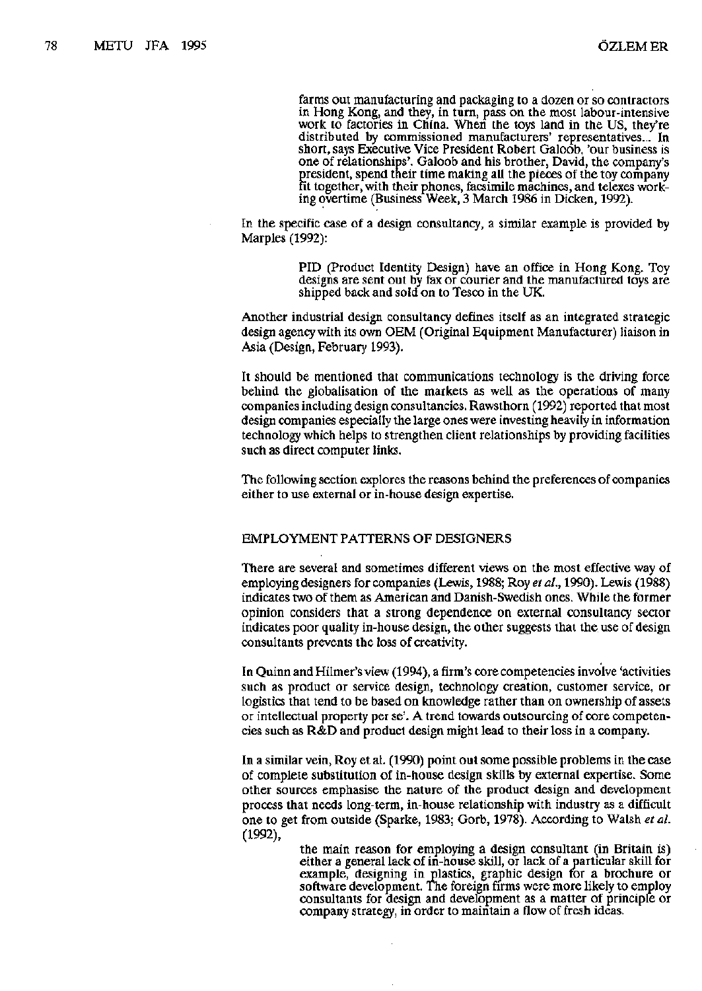farms out manufacturing and packaging to a dozen or so contractors in Hong Kong, and they, in turn, pass on the most labour-intensive work to factories in China. When the toys land in the US, they're distributed by commissioned manufacturers' representatives... In short, says Executive Vice President Robert Galoob, 'our business is one of relationships'. Galoob and his brother, David, the company's president, spend their time making all the pieces of the toy company fit together, with their phones, facsimile machines, and telexes working overtime (Business Week, 3 March 1986 in Dicken, 1992).

In the specific case of a design consultancy, a similar example is provided by Marples (1992):

> PID (Product Identity Design) have an office in Hong Kong. Toy designs are sent out by fax or courier and the manufactured toys are shipped back and sold on to Tesco in the UK.

Another industrial design consultancy defines itself as an integrated strategic design agency with its own OEM (Original Equipment Manufacturer) liaison in Asia (Design, February 1993).

It should be mentioned that communications technology is the driving force behind the globalisation of the markets as well as the operations of many companies including design consultancies. Rawsthorn (1992) reported that most design companies especially the large ones were investing heavily in information technology which helps to strengthen client relationships by providing facilities such as direct computer links.

The following section explores the reasons behind the preferences of companies either to use external or in-house design expertise.

# EMPLOYMENT PATTERNS OF DESIGNERS

There are several and sometimes different views on the most effective way of employing designers for companies (Lewis, 1988; Roy *et al,* 1990). Lewis (1988) indicates two of them as American and Danish-Swedish ones. While the former opinion considers that a strong dependence on external consultancy sector indicates poor quality in-house design, the other suggests that the use of design consultants prevents the loss of creativity.

In Quinn and Hilmer's view (1994), a firm's core competencies involve 'activities such as product or service design, technology creation, customer service, or logistics that tend to be based on knowledge rather than on ownership of assets or intellectual property per se'. A trend towards outsourcing of core competencies such as R&D and product design might lead to their loss in a company.

In a similar vein, Roy et al. (1990) point out some possible problems in the case of complete substitution of in-house design skills by external expertise. Some other sources emphasise the nature of the product design and development process that needs long-term, in-house relationship with industry as a difficult one to get from outside (Sparke, 1983; Gorb, 1978). According to Walsh *et al.*  (1992),

> the main reason for employing a design consultant (in Britain is) either a general lack of in-house skill, or lack of a particular skill for example, designing in plastics, graphic design for a brochure or software development. The foreign firms were more likely to employ consultants for design and development as a matter of principle or company strategy, in order to maintain a flow of fresh ideas.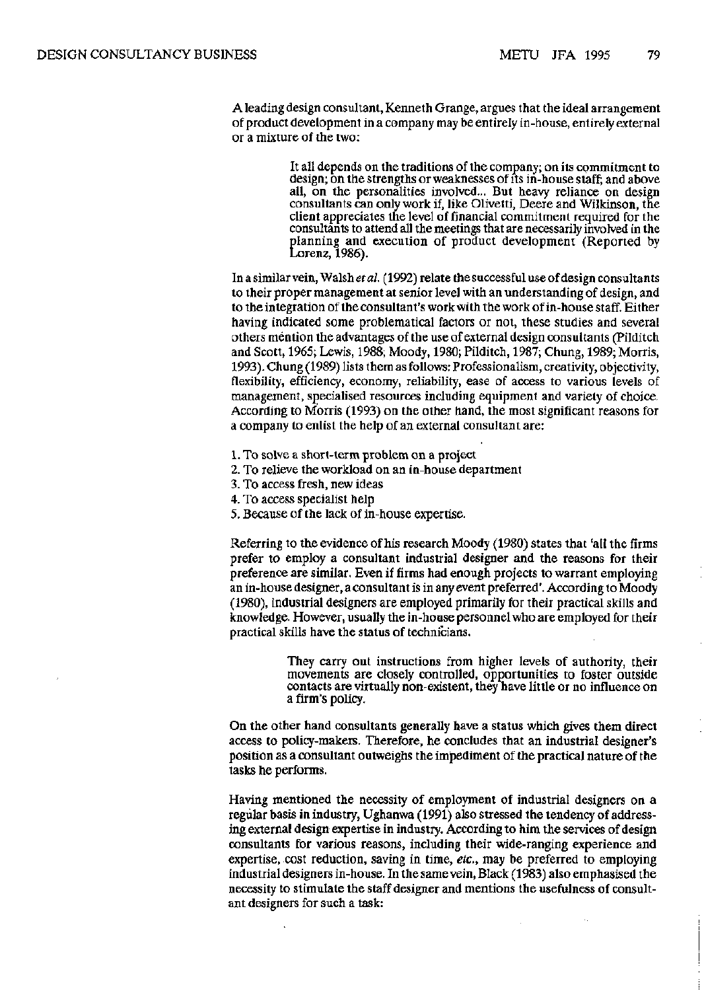A leading design consultant, Kenneth Grange, argues that the ideal arrangement of product development in a company may be entirely in-house, entirely external or a mixture of the two:

> It all depends on the traditions of the company; on its commitment to design; on the strengths or weaknesses of its in-house staff; and above all, on the personalities involved... But heavy reliance on design consultants can only work if, like Olivetti, Deere and Wilkinson, the client appreciates the level of financial commitment required for the consultants to attend all the meetings that are necessarily involved in the planning and execution of product development (Reported by Lorenz, 1986).

In a similar vein, Walsh et al. (1992) relate the successful use of design consultants to their proper management at senior level with an understanding of design, and to the integration of the consultant's work with the work of in-house staff. Either having indicated some problematical factors or not, these studies and several others mention the advantages of the use of external design consultants (Pilditch and Scott, 1965; Lewis, 1988; Moody, 1980; Pilditch, 1987; Chung, 1989; Morris, 1993). Chung (1989) lists them as follows: Professionalism, creativity, objectivity, flexibility, efficiency, economy, reliability, ease of access to various levels of management, specialised resources including equipment and variety of choice. According to Morris (1993) on the other hand, the most significant reasons for a company to enlist the help of an external consultant are:

- 1. To solve a short-term problem on a project
- 2. To relieve the workload on an in-house department
- 3. To access fresh, new ideas
- 4. To access specialist help
- 5. Because of the lack of in-house expertise.

Referring to the evidence of his research Moody (1980) states that 'all the firms prefer to employ a consultant industrial designer and the reasons for their preference are similar. Even if firms had enough projects to warrant employing an in-house designer, a consultant is in any event preferred'. According to Moody (1980), industrial designers are employed primarily for their practical skills and knowledge. However, usually the in-house personnel who are employed for their practical skills have the status of technicians.

> They carry out instructions from higher levels of authority, their movements are closely controlled, opportunities to foster outside contacts are virtually non-existent, they have little or no influence on a firm's policy.

On the other hand consultants generally have a status which gives them direct access to policy-makers. Therefore, he concludes that an industrial designer's position as a consultant outweighs the impediment of the practical nature of the tasks he performs.

Having mentioned the necessity of employment of industrial designers on a regular basis in industry, Ughanwa (1991) also stressed the tendency of addressing external design expertise in industry. According to him the services of design consultants for various reasons, including their wide-ranging experience and expertise, cost reduction, saving in time, *etc.,* may be preferred to employing industrial designers in-house. In the same vein, Black (1983) also emphasised the necessity to stimulate the staff designer and mentions the usefulness of consultant designers for such a task: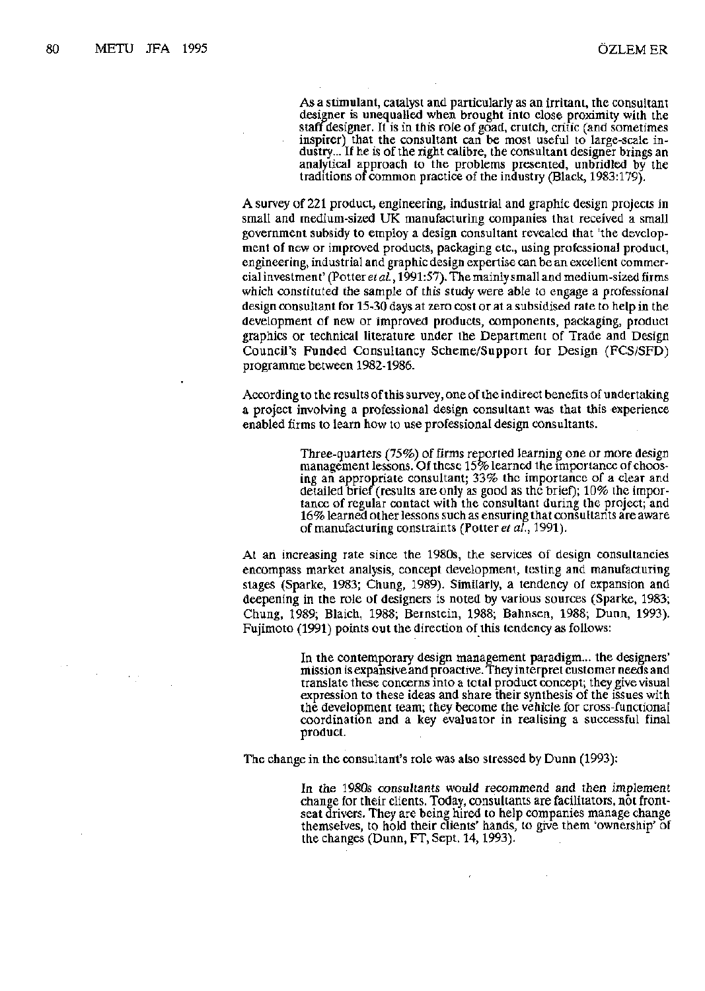$\mathcal{A}^{\text{in}}_{\text{in}}$  ,  $\mathcal{A}^{\text{in}}_{\text{in}}$ 

As a stimulant, catalyst and particularly as an irritant, the consultant designer is unequalled when brought into close proximity with the staff designer. It is in this role of goad, crutch, critic (and sometimes inspirer) that the consultant can be most useful to large-scale industry... If he is of the right calibre, the consultant designer brings an analytical approach to the problems presented, unbridled by the traditions of common practice of the industry (Black, 1983:179).

A survey of 221 product, engineering, industrial and graphic design projects in small and medium-sized UK manufacturing companies that received a small government subsidy to employ a design consultant revealed that 'the development of new or improved products, packaging etc., using professional product, engineering, industrial and graphic design expertise can be an excellent commercial investment' (Potter *et al.*, 1991:57). The mainly small and medium-sized firms which constituted the sample of this study were able to engage a professional design consultant for 15-30 days at zero cost or at a subsidised rate to help in the development of new or improved products, components, packaging, product graphics or technical literature under the Department of Trade and Design Council's Funded Consultancy Scheme/Support for Design (FCS/SFD) programme between 1982-1986.

According to the results of this survey, one of the indirect benefits of undertaking a project involving a professional design consultant was that this experience enabled firms to learn how to use professional design consultants.

> Three-quarters (75%) of firms reported learning one or more design management lessons. Of these 15% learned the importance of choosing an appropriate consultant; 33% the importance of a clear and detailed brief (results are only as good as the brief); 10% the importance of regular contact with the consultant during the project; and 16% learned other lessons such as ensuring that consultants are aware of manufacturing constraints (Potter *etah,* 1991).

At an increasing rate since the 1980s, the services of design consultancies encompass market analysis, concept development, testing and manufacturing stages (Sparke, 1983; Chung, 1989). Similarly, a tendency of expansion and deepening in the role of designers is noted by various sources (Sparke, 1983; Chung, 1989; Blaich, 1988; Bernstein, 1988; Bahnsen, 1988; Dunn, 1993). Fujimoto (1991) points out the direction of this tendency as follows:

> In the contemporary design management paradigm... the designers' mission is expansive and proactive. They interpret customer needs and translate these concerns into a total product concept; they give visual expression to these ideas and share their synthesis of the issues with the development team; they become the vehicle for cross-functional coordination and a key evaluator in realising a successful final product.

The change in the consultant's role was also stressed by Dunn (1993):

In the 1980s consultants would recommend and then implement change for their clients. Today, consultants are facilitators, not frontseat drivers. They are being hired to help companies manage change themselves, to hold their clients' hands, to give them 'ownership' of the changes (Dunn, FT, Sept. 14,1993).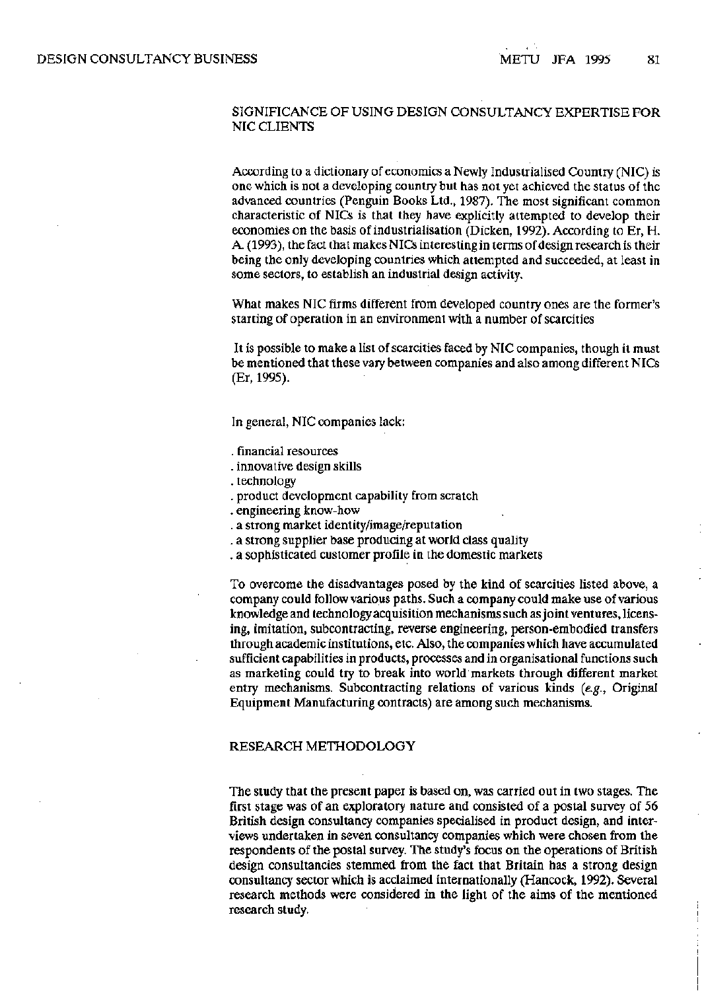### SIGNIFICANCE OF USING DESIGN CONSULTANCY EXPERTISE FOR NIC CLIENTS

According to a dictionary of economics a Newly Industrialised Country (NIC) is one which is not a developing country but has not yet achieved the status of the advanced countries (Penguin Books Ltd., 1987). The most significant common characteristic of NICs is that they have explicitly attempted to develop their economies on the basis of industrialisation (Dicken, 1992). According to Er, H. A. (1993), the fact that makes NICs interesting in terms of design research is their being the only developing countries which attempted and succeeded, at least in some sectors, to establish an industrial design activity.

What makes NIC firms different from developed country ones are the former's starting of operation in an environment with a number of scarcities

It is possible to make a list of scarcities faced by NIC companies, though it must be mentioned that these vary between companies and also among different NICs (Er, 1995).

In general, NIC companies lack:

- . financial resources
- . innovative design skills
- . technology
- . product development capability from scratch
- . engineering know-how
- . a strong market identity/image/reputation
- . a strong supplier base producing at world class quality
- . a sophisticated customer profile in the domestic markets

To overcome the disadvantages posed by the kind of scarcities listed above, a company could follow various paths. Such a company could make use of various knowledge and technology acquisition mechanisms such as joint ventures, licensing, imitation, subcontracting, reverse engineering, person-embodied transfers through academic institutions, etc. Also, the companies which have accumulated sufficient capabilities in products, processes and in organisational functions such as marketing could try to break into world markets through different market entry mechanisms. Subcontracting relations of various kinds *(e.g.,* Original Equipment Manufacturing contracts) are among such mechanisms.

#### RESEARCH METHODOLOGY

The study that the present paper is based on, was carried out in two stages. The first stage was of an exploratory nature and consisted of a postal survey of 56 British design consultancy companies specialised in product design, and interviews undertaken in seven consultancy companies which were chosen from the respondents of the postal survey. The study's focus on the operations of British design consultancies stemmed from the fact that Britain has a strong design consultancy sector which is acclaimed internationally (Hancock, 1992). Several research methods were considered in the light of the aims of the mentioned research study.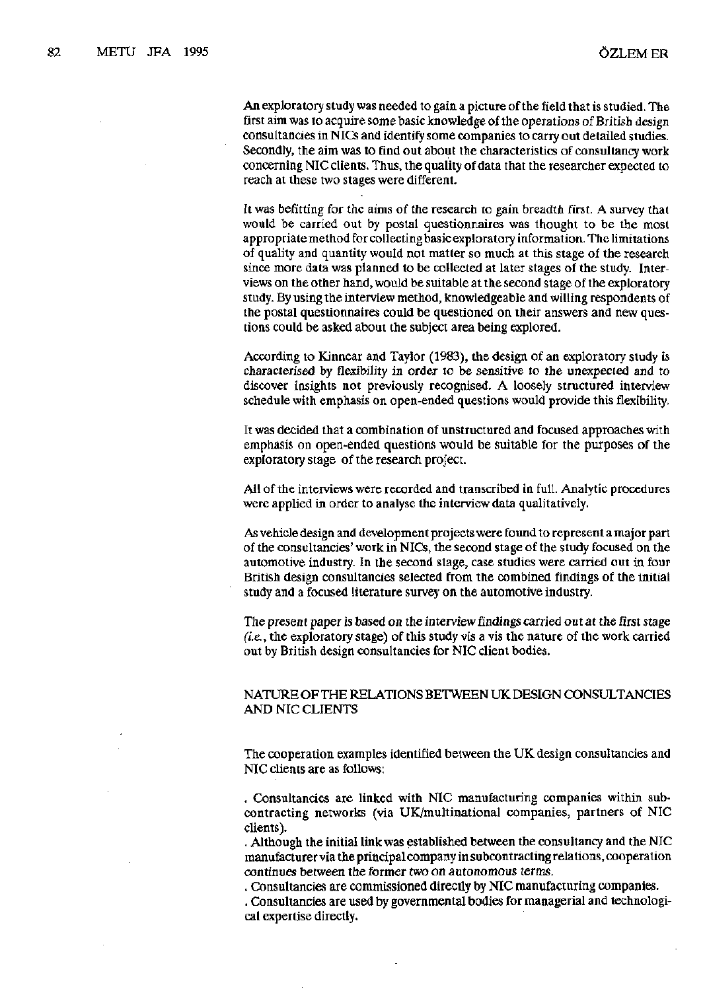An exploratory study was needed to gain a picture of the field that is studied. The first aim was to acquire some basic knowledge of the operations of British design consultancies in NICs and identify some companies to carry out detailed studies. Secondly, the aim was to find out about the characteristics of consultancy work concerning NIC clients. Thus, the quality of data that the researcher expected to reach at these two stages were different.

It was befitting for the aims of the research to gain breadth first. A survey that would be carried out by postal questionnaires was thought to be the most appropriate method for collecting basic exploratory information. The limitations of quality and quantity would not matter so much at this stage of the research since more data was planned to be collected at later stages of the study. Interviews on the other hand, would be suitable at the second stage of the exploratory study. By using the interview method, knowledgeable and willing respondents of the postal questionnaires could be questioned on their answers and new questions could be asked about the subject area being explored.

According to Kinnear and Taylor (1983), the design of an exploratory study is characterised by flexibility in order to be sensitive to the unexpected and to discover insights not previously recognised. A loosely structured interview schedule with emphasis on open-ended questions would provide this flexibility.

It was decided that a combination of unstructured and focused approaches with emphasis on open-ended questions would be suitable for the purposes of the exploratory stage of the research project.

All of the interviews were recorded and transcribed in full. Analytic procedures were applied in order to analyse the interview data qualitatively.

As vehicle design and development projects were found to represent a major part of the consultancies' work in NICs, the second stage of the study focused on the automotive industry. In the second stage, case studies were carried out in four British design consultancies selected from the combined findings of the initial study and a focused literature survey on the automotive industry.

The present paper is based on the interview findings carried out at the first stage *(i.e.,* the exploratory stage) of this study vis a vis the nature of the work carried out by British design consultancies for NIC client bodies.

# NATURE OF THE RELATIONS BETWEEN UK DESIGN CONSULTANCIES AND NIC CLIENTS

The cooperation examples identified between the UK design consultancies and NIC clients are as follows:

. Consultancies are linked with NIC manufacturing companies within subcontracting networks (via UK/multinational companies, partners of NIC clients).

. Although the initial link was established between the consultancy and the NIC manufacturer via the principal company in subcontracting relations, cooperation continues between the former two on autonomous terms.

. Consultancies are commissioned directly by NIC manufacturing companies. . Consultancies are used by governmental bodies for managerial and technological expertise directly.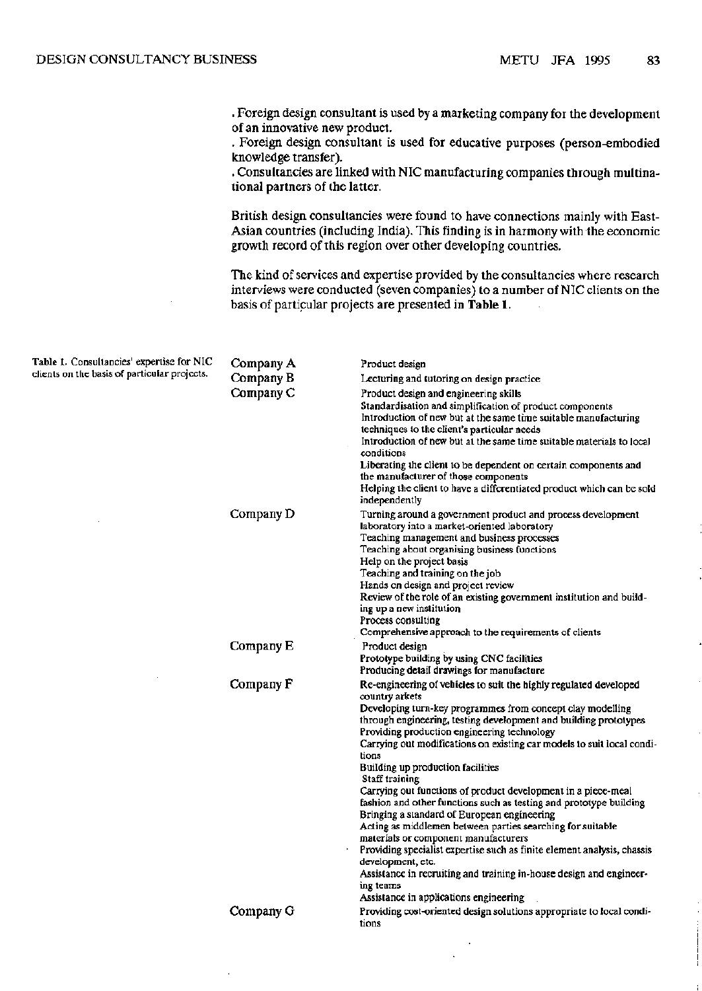. Foreign design consultant is used by a marketing company for the development of an innovative new product.

. Foreign design consultant is used for educative purposes (person-embodied knowledge transfer).

. Consultancies are linked with NIC manufacturing companies through multinational partners of the latter.

British design consultancies were found to have connections mainly with East-Asian countries (including India). This finding is in harmony with the economic growth record of this region over other developing countries.

The kind of services and expertise provided by the consultancies where research interviews were conducted (seven companies) to a number of NIC clients on the basis of particular projects are presented in **Table 1.** 

| Table 1. Consultancies' expertise for NIC<br>clients on the basis of particular projects. | Company A | Product design                                                                                                                                                                                                                                                                                                                                                                                                                                                                                                                                                                                                                                                                                                                                                                                                                                                                                                                           |  |  |  |  |
|-------------------------------------------------------------------------------------------|-----------|------------------------------------------------------------------------------------------------------------------------------------------------------------------------------------------------------------------------------------------------------------------------------------------------------------------------------------------------------------------------------------------------------------------------------------------------------------------------------------------------------------------------------------------------------------------------------------------------------------------------------------------------------------------------------------------------------------------------------------------------------------------------------------------------------------------------------------------------------------------------------------------------------------------------------------------|--|--|--|--|
|                                                                                           | Company B | Lecturing and tutoring on design practice.                                                                                                                                                                                                                                                                                                                                                                                                                                                                                                                                                                                                                                                                                                                                                                                                                                                                                               |  |  |  |  |
|                                                                                           | Company C | Product design and engineering skills<br>Standardisation and simplification of product components<br>Introduction of new but at the same time suitable manufacturing<br>techniques to the client's particular needs<br>Introduction of new but at the same time suitable materials to local<br>conditions<br>Liberating the client to be dependent on certain components and<br>the manufacturer of those components<br>Helping the client to have a differentiated product which can be sold<br>independently                                                                                                                                                                                                                                                                                                                                                                                                                           |  |  |  |  |
|                                                                                           | Company D | Turning around a government product and process development<br>laboratory into a market-oriented laboratory<br>Teaching management and business processes<br>Teaching about organising business functions<br>Help on the project basis<br>Teaching and training on the job<br>Hands on design and project review<br>Review of the role of an existing government institution and build-<br>ing up a new institution<br>Process consulting<br>Comprehensive approach to the requirements of clients                                                                                                                                                                                                                                                                                                                                                                                                                                       |  |  |  |  |
|                                                                                           | Company E | Product design<br>Prototype building by using CNC facilities<br>Producing detail drawings for manufacture                                                                                                                                                                                                                                                                                                                                                                                                                                                                                                                                                                                                                                                                                                                                                                                                                                |  |  |  |  |
|                                                                                           | Company F | Re-engineering of vehicles to suit the highly regulated developed<br>country arkets<br>Developing turn-key programmes from concept clay modelling<br>through engineering, testing development and building prototypes<br>Providing production engineering technology<br>Carrying out modifications on existing car models to suit local condi-<br>tions<br>Building up production facilities<br>Staff training<br>Carrying out functions of product development in a piece-meal<br>fashion and other functions such as testing and prototype building<br>Bringing a standard of European engineering<br>Acting as middlemen between parties searching for suitable<br>materials or component manufacturers<br>Providing specialist expertise such as finite element analysis, chassis<br>development, etc.<br>Assistance in recruiting and training in-house design and engineer-<br>ing teams<br>Assistance in applications engineering |  |  |  |  |
|                                                                                           | Company G | Providing cost-oriented design solutions appropriate to local condi-<br>tions                                                                                                                                                                                                                                                                                                                                                                                                                                                                                                                                                                                                                                                                                                                                                                                                                                                            |  |  |  |  |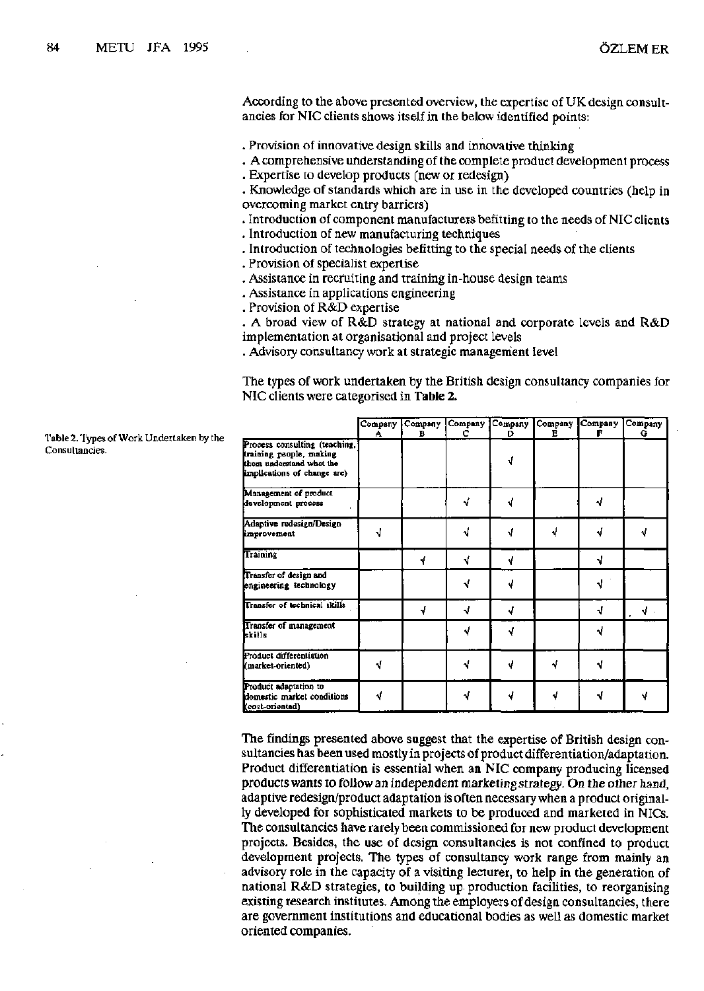According to the above presented overview, the expertise of UK design consultancies for NIC clients shows itself in the below identified points:

. Provision of innovative design skills and innovative thinking

- . A comprehensive understanding of the complete product development process
- . Expertise to develop products (new or redesign)

. Knowledge of standards which are in use in the developed countries (help in overcoming market entry barriers)

. Introduction of component manufacturers befitting to the needs of NIC clients

- . Introduction of new manufacturing techniques
- . Introduction of technologies befitting to the special needs of the clients . Provision of specialist expertise
- . Provision of specialist expertise
- . Assistance in recruiting and training in-house design teams
- . Assistance in applications engineering<br>. Provision of R&D expertise
- 

. A broad view of  $R&D$  strategy at national and corporate levels and  $R&D$ implementation at organisational and project levels

. Advisory consultancy work at strategic management level . Advisory consultancy work at strategic management level  $\mathcal{L}$ 

The types of work undertaken by the British design consultancy companies for NIC clients were categorised in **Table 2.** 

|                                                                                                                     | A | Company Company<br>в | Company<br>с | Company<br>D | в | Company Company | Company<br>G |
|---------------------------------------------------------------------------------------------------------------------|---|----------------------|--------------|--------------|---|-----------------|--------------|
| Process consulting (teaching,<br>training people, making<br>them understand what the<br>implications of change are) |   |                      |              | N            |   |                 |              |
| Management of product<br>development process                                                                        |   |                      | √            | <b>V</b>     |   | ۷               |              |
| Adaptive redesign/Design<br>improvement                                                                             |   |                      |              | ٩I           | √ | ۰I              | ν            |
| Training                                                                                                            |   | √                    | ۹ľ           | √            |   | N               |              |
| Transfer of design and<br>engineering technology                                                                    |   |                      |              |              |   |                 |              |
| Transfer of technical skills                                                                                        |   | √                    | J            | J            |   | √               | Y            |
| Transfer of management<br>kkills                                                                                    |   |                      |              |              |   |                 |              |
| Product differentiation<br>(market-oriented)                                                                        | √ |                      |              |              |   | J               |              |
| Product adaptation to<br>domestic market conditions<br>(cost-oriented)                                              | √ |                      |              |              |   | J               | ۷            |

The findings presented above suggest that the expertise of British design consultancies has been used mostly in projects of product differentiation/adaptation. Product differentiation is essential when an NIC company producing licensed products wants to follow an independent marketing strategy. On the other hand, adaptive redesign/product adaptation is often necessary when a product originally developed for sophisticated markets to be produced and marketed in NICs. The consultancies have rarely been commissioned for new product development projects. Besides, the use of design consultancies is not confined to product development projects. The types of consultancy work range from mainly an advisory role in the capacity of a visiting lecturer, to help in the generation of national R&D strategies, to building up production facilities, to reorganising existing research institutes. Among the employers of design consultancies, there are government institutions and educational bodies as well as domestic market oriented companies.

Table 2. Types of Work Undertaken by the Consultancies.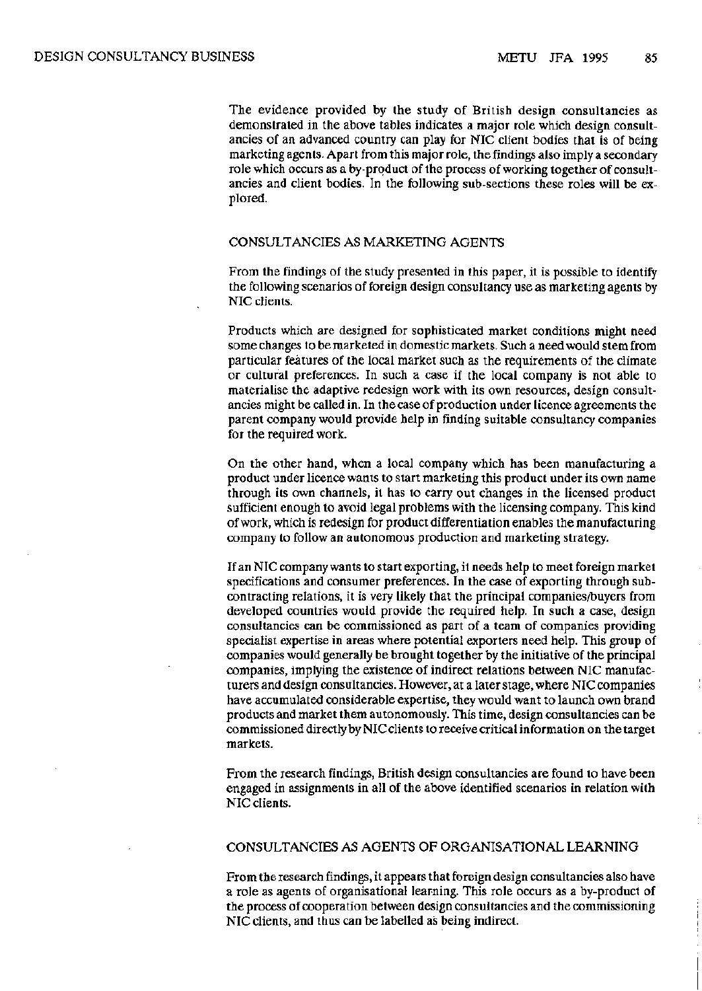The evidence provided by the study of British design consultancies as demonstrated in the above tables indicates a major role which design consultancies of an advanced country can play for NIC client bodies that is of being marketing agents. Apart from this major role, the findings also imply a secondary role which occurs as a by-product of the process of working together of consultancies and client bodies. In the following sub-sections these roles will be explored.

### CONSULTANCIES AS MARKETING AGENTS

From the findings of the study presented in this paper, it is possible to identify the following scenarios of foreign design consultancy use as marketing agents by NIC clients.

Products which are designed for sophisticated market conditions might need some changes to be marketed in domestic markets. Such a need would stem from particular features of the local market such as the requirements of the climate or cultural preferences. In such a case if the local company is not able to materialise the adaptive redesign work with its own resources, design consultancies might be called in. In the case of production under licence agreements the parent company would provide help in finding suitable consultancy companies for the required work.

On the other hand, when a local company which has been manufacturing a product under licence wants to start marketing this product under its own name through its own channels, it has to carry out changes in the licensed product sufficient enough to avoid legal problems with the licensing company. This kind of work, which is redesign for product differentiation enables the manufacturing company to follow an autonomous production and marketing strategy.

If an NIC company wants to start exporting, it needs help to meet foreign market specifications and consumer preferences. In the case of exporting through subcontracting relations, it is very likely that the principal companies/buyers from developed countries would provide the required help. In such a case, design consultancies can be commissioned as part of a team of companies providing specialist expertise in areas where potential exporters need help. This group of companies would generally be brought together by the initiative of the principal companies, implying the existence of indirect relations between NIC manufacturers and design consultancies. However, at a later stage, where NIC companies have accumulated considerable expertise, they would want to launch own brand products and market them autonomously. This time, design consultancies can be commissioned directly by NIC clients to receive critical information on the target markets.

From the research findings, British design consultancies are found to have been engaged in assignments in all of the above identified scenarios in relation with NIC clients.

# CONSULTANCIES AS AGENTS OF ORGANISATIONAL LEARNING

From the research findings, it appears that foreign design consultancies also have a role as agents of organisational learning. This role occurs as a by-product of the process of cooperation between design consultancies and the commissioning NIC clients, and thus can be labelled as being indirect.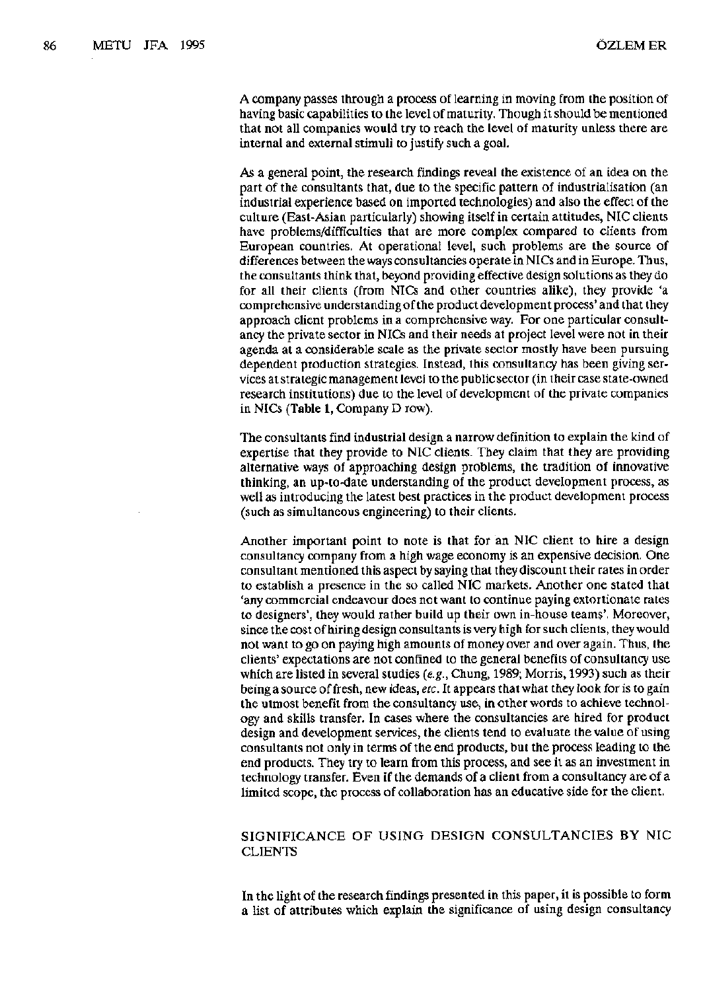A company passes through a process of learning in moving from the position of having basic capabilities to the level of maturity. Though it should be mentioned that not all companies would try to reach the level of maturity unless there are internal and external stimuli to justify such a goal.

As a general point, the research findings reveal the existence of an idea on the part of the consultants that, due to the specific pattern of industrialisation (an industrial experience based on imported technologies) and also the effect of the culture (East-Asian particularly) showing itself in certain attitudes, NIC clients have problems/difficulties that are more complex compared to clients from European countries. At operational level, such problems are the source of differences between the ways consultancies operate in NICs and in Europe. Thus, the consultants think that, beyond providing effective design solutions as they do for all their clients (from NICs and other countries alike), they provide 'a comprehensive understanding of the product development process' and that they approach client problems in a comprehensive way. For one particular consultancy the private sector in NICs and their needs at project level were not in their agenda at a considerable scale as the private sector mostly have been pursuing dependent production strategies. Instead, this consultancy has been giving services at strategic management level to the public sector (in their case state-owned research institutions) due to the level of development of the private companies in NICs (Table 1, Company D row).

The consultants find industrial design a narrow definition to explain the kind of expertise that they provide to NIC clients. They claim that they are providing alternative ways of approaching design problems, the tradition of innovative thinking, an up-to-date understanding of the product development process, as well as introducing the latest best practices in the product development process (such as simultaneous engineering) to their clients.

Another important point to note is that for an NIC client to hire a design consultancy company from a high wage economy is an expensive decision. One consultant mentioned this aspect by saying that they discount their rates in order to establish a presence in the so called NIC markets. Another one stated that 'any commercial endeavour does not want to continue paying extortionate rates to designers', they would rather build up their own in-house teams'. Moreover, since the cost of hiring design consultants is very high for such clients, they would not want to go on paying high amounts of money over and over again. Thus, the clients' expectations are not confined to the general benefits of consultancy use which are listed in several studies *(e.g.,* Chung, 1989; Morris, 1993) such as their being a source of fresh, new ideas, *etc.* It appears that what they look for is to gain the utmost benefit from the consultancy use, in other words to achieve technology and skills transfer. In cases where the consultancies are hired for product design and development services, the clients tend to evaluate the value of using consultants not only in terms of the end products, but the process leading to the end products. They try to learn from this process, and see it as an investment in technology transfer. Even if the demands of a client from a consultancy are of a limited scope, the process of collaboration has an educative side for the client.

# SIGNIFICANCE OF USING DESIGN CONSULTANCIES BY NIC CLIENTS

In the light of the research findings presented in this paper, it is possible to form a list of attributes which explain the significance of using design consultancy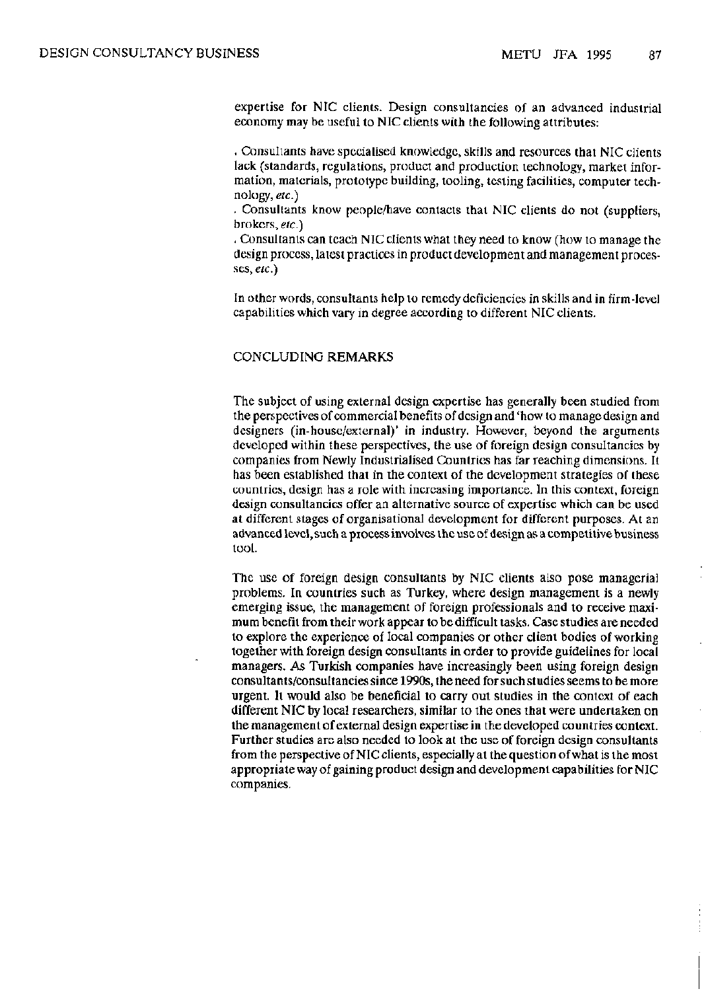expertise for NIC clients. Design consultancies of an advanced industrial economy may be useful to NIC clients with the following attributes:

. Consultants have specialised knowledge, skills and resources that NIC clients lack (standards, regulations, product and production technology, market information, materials, prototype building, tooling, testing facilities, computer technology, *etc.)* 

. Consultants know people/have contacts that NIC clients do not (suppliers, brokers, *etc.)* 

*.* Consultants can teach NIC clients what they need to know (how to manage the design process, latest practices in product development and management processes, *etc.)* 

In other words, consultants help to remedy deficiencies in skills and in firm-level capabilities which vary in degree according to different NIC clients.

#### CONCLUDING REMARKS

The subject of using external design expertise has generally been studied from the perspectives of commercial benefits of design and 'how to manage design and designers (in-house/external)' in industry. However, beyond the arguments developed within these perspectives, the use of foreign design consultancies by companies from Newly Industrialised Countries has far reaching dimensions. It has been established that in the context of the development strategies of these countries, design has a role with increasing importance. In this context, foreign design consultancies offer an alternative source of expertise which can be used at different stages of organisational development for different purposes. At an advanced level, such a process involves the use of design as a competitive business tool.

The use of foreign design consultants by NIC clients also pose managerial problems. In countries such as Turkey, where design management is a newly emerging issue, the management of foreign professionals and to receive maximum benefit from their work appear to be difficult tasks. Case studies are needed to explore the experience of local companies or other client bodies of working together with foreign design consultants in order to provide guidelines for local managers. As Turkish companies have increasingly been using foreign design consultants/consultancies since 1990s, the need for such studies seems to be more urgent. It would also be beneficial to carry out studies in the context of each different NIC by local researchers, similar to the ones that were undertaken on the management of external design expertise in the developed countries context. Further studies are also needed to look at the use of foreign design consultants from the perspective of NIC clients, especially at the question of what is the most appropriate way of gaining product design and development capabilities for NIC companies.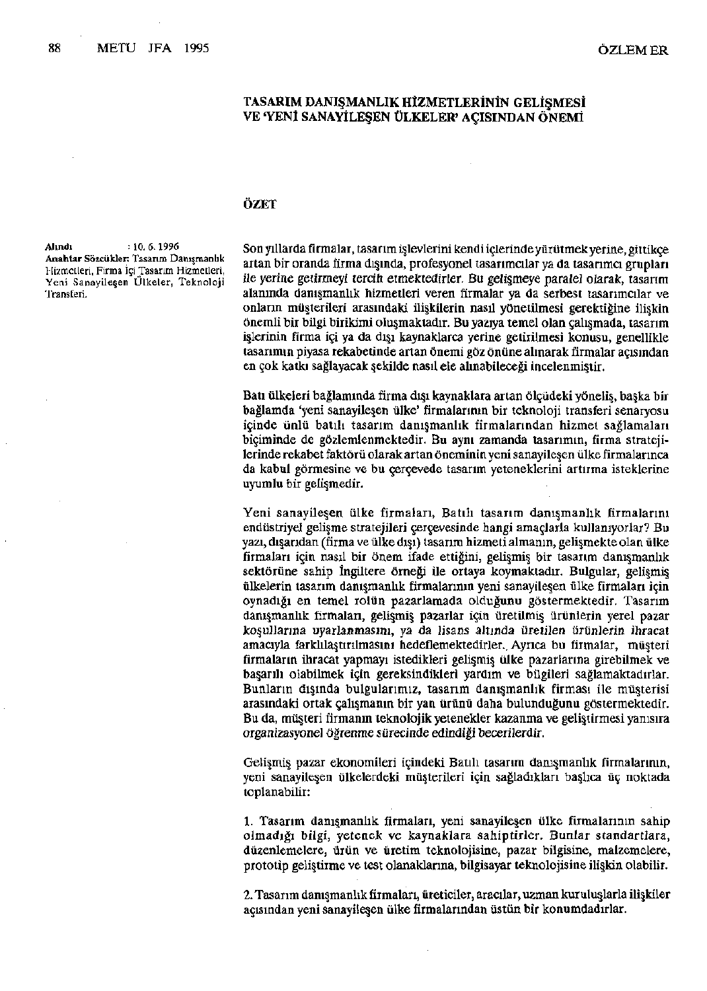#### TASARIM DANIŞMANLIK HİZMETLERİNİN GELİŞMESİ VE 'YENİ SANAYİLEŞEN ÜLKELER' AÇISINDAN ÖNEMİ

#### ÖZET

**Alındı** : 10. 6. 1996 **Anahtar Sözcükler:** Tasarım Danışmanlık Hizmetleri, Firma İçi Tasarım Hizmetleri, Yeni Sanayileşen Ülkeler, Teknoloji Transferi.

Son yıllarda firmalar, tasarım işlevlerini kendi içlerinde yürütmek yerine, gittikçe artan bir oranda firma dışında, profesyonel tasarımcılar ya da tasarımcı grupları ile yerine getirmeyi tercih etmektedirler. Bu gelişmeye paralel olarak, tasarım alanında danışmanlık hizmetleri veren firmalar ya da serbest tasarımcılar ve onların müşterileri arasındaki ilişkilerin nasıl yönetilmesi gerektiğine ilişkin önemli bir bilgi birikimi oluşmaktadır. Bu yazıya temel olan çalışmada, tasarım işlerinin firma içi ya da dışı kaynaklarca yerine getirilmesi konusu, genellikle tasarımın piyasa rekabetinde artan önemi göz önüne alınarak firmalar açısından en çok katkı sağlayacak şekilde nasıl ele alınabileceği incelenmiştir.

Batı ülkeleri bağlamında firma dışı kaynaklara artan ölçüdeki yöneliş, başka bir bağlamda 'yeni sanayileşen ülke' firmalarının bir teknoloji transferi senaryosu içinde ünlü batılı tasarım danışmanlık firmalarından hizmet sağlamaları biçiminde de gözlemlenmektedir. Bu aynı zamanda tasarımın, firma stratejilerinde rekabet faktörü olarak artan öneminin yeni sanayileşen ülke firmalarınca da kabul görmesine ve bu çerçevede tasarım yeteneklerini artırma isteklerine uyumlu bir gelişmedir.

Yeni sanayileşen ülke firmaları, Batılı tasarım danışmanlık firmalarını endüstriyel gelişme stratejileri çerçevesinde hangi amaçlarla kullanıyorlar? Bu yazı, dışarıdan (firma ve ülke dışı) tasarım hizmeti almanın, gelişmekte olan ülke firmaları için nasıl bir önem ifade ettiğini, gelişmiş bir tasarım danışmanlık sektörüne sahip İngiltere örneği ile ortaya koymaktadır. Bulgular, gelişmiş ülkelerin tasarım danışmanlık firmalarının yeni sanayileşen ülke firmaları için oynadığı en temel rolün pazarlamada olduğunu göstermektedir. Tasarım danışmanlık firmaları, gelişmiş pazarlar için üretilmiş ürünlerin yerel pazar koşullarına uyarlanmasını, ya da lisans altında üretilen ürünlerin ihracat amacıyla farklılaştırılmasını hedeflemektedirler. Ayrıca bu firmalar, müsteri firmaların ihracat yapmayı istedikleri gelişmiş ülke pazarlarına girebilmek ve başarılı olabilmek için gereksindikleri yardım ve bilgileri sağlamaktadırlar. Bunların dışında bulgularımız, tasarım danışmanlık firması ile müşterisi arasındaki ortak çalışmanın bir yan ürünü daha bulunduğunu göstermektedir. Bu da, müşteri firmanın teknolojik yetenekler kazanma ve geliştirmesi yanısıra organizasyonel Öğrenme sürecinde edindiği becerilerdir.

Gelişmiş pazar ekonomileri içindeki Batılı tasarım danışmanlık firmalarının, yeni sanayileşen ülkelerdeki müşterileri için sağladıkları başlıca üç noktada toplanabilir:

1. Tasarım danışmanlık firmaları, yeni sanayileşen ülke firmalarının sahip olmadığı bilgi, yetenek ve kaynaklara sahiptirler. Bunlar standartlara, düzenlemelere, ürün ve üretim teknolojisine, pazar bilgisine, malzemelere, prototip geliştirme ve test olanaklarına, bilgisayar teknolojisine ilişkin olabilir.

2. Tasarım danışmanlık firmaları, üreticiler, aracılar, uzman kuruluşlarla ilişkiler açısından yeni sanayileşen ülke firmalarından üstün bir konumdadırlar.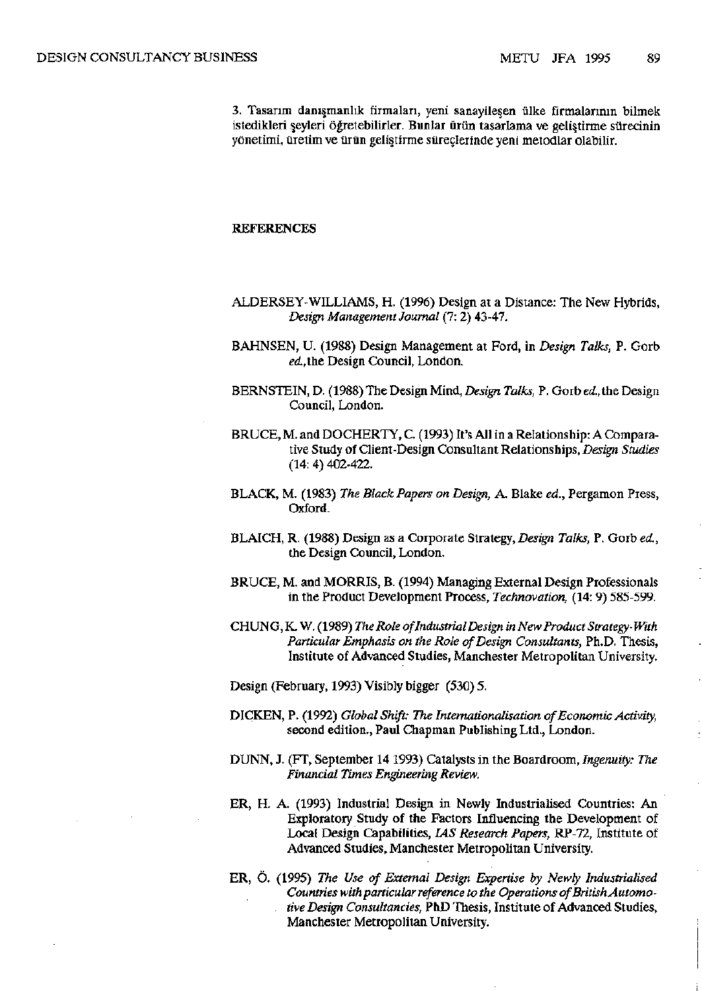3. Tasarım danışmanlık firmaları, yeni sanayileşen ülke firmalarının bilmek istedikleri şeyleri öğretebilirler. Bunlar ürün tasarlama ve geliştirme sürecinin yönetimi, üretim ve ürün geliştirme süreçlerinde yeni metodlar olabilir.

#### REFERENCES

ALDERSEY-WILLIAMS, H. (1996) Design at a Distance: The New Hybrids, *Design Management Journal* (7: 2) 43-47.

- BAHNSEN, U. (1988) Design Management at Ford, in *Design Talks,* P. Gorb ed., the Design Council, London.
- BERNSTEIN, D. (1988) The Design Mind, *Design Talks,* P. Gorb ed.,the Design Council, London.
- BRUCE, M. and DOCHERTY, C. (1993) It's All in a Relationship: A Comparative Study of Client-Design Consultant Relationships, *Design Studies*  (14: 4) 402-422.
- BLACK, M. (1983) *The Black Papers on Design,* A. Blake *ed.,* Pergamon Press, Oxford.
- BLAICH, R. (1988) Design as a Corporate Strategy, *Design Talks,* P. Gorb *ed.,*  the Design Council, London.
- BRUCE, M. and MORRIS, B. (1994) Managing External Design Professionals in the Product Development Process, *Technovation,* (14: 9) 585-599.
- CHUNG, K. W. (1989) *The Role of Industrial Design in New Product Strategy-With Particular Emphasis on the Role of Design Consultants,* Ph.D. Thesis, Institute of Advanced Studies, Manchester Metropolitan University.
- Design (February, 1993) Visibly bigger (530) 5.
- DICKEN, P. (1992) *Global Shift: The Internationalisation of Economic Activity,*  second edition., Paul Chapman Publishing Ltd., London.
- DUNN, J. (FT, September 14 1993) Catalysts in the Boardroom, *Ingenuity: The Financial Times Engineering Review.*
- ER, H. A. (1993) Industrial Design in Newly Industrialised Countries: An Exploratory Study of the Factors Influencing the Development of Local Design Capabilities, *IAS Research Papers,* RP-72, Institute of Advanced Studies, Manchester Metropolitan University.
- ER, Ö. (1995) *The Use of External Design Expertise by Newly Industrialised Countries with particular reference to the Operations of British Automotive Design Consultancies,* PhD Thesis, Institute of Advanced Studies, Manchester Metropolitan University.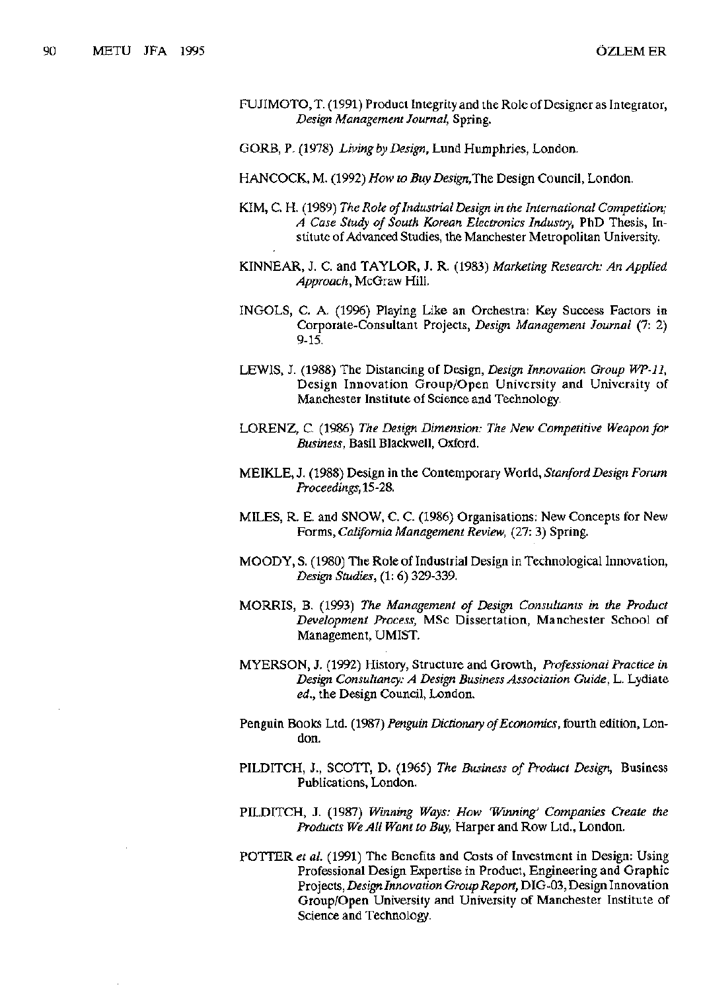- FUJIMOTO, T. (1991) Product Integrity and the Role of Designer as Integrator, *Design Management Journal,* Spring.
- GORB, P. (1978) *Living by Design,* Lund Humphries, London.
- HANCOCK, M. (1992) *How to Buy Design,The* Design Council, London.
- KIM, C. H. (1989) *The Role of Industrial Design in the International Competition; A Case Study of South Korean Electronics Industry,* PhD Thesis, Institute of Advanced Studies, the Manchester Metropolitan University.
- KINNEAR, J. C. and TAYLOR, J. R. (1983) *Marketing Research: An Applied Approach,* McGraw Hill.
- INGOLS, C. A. (1996) Playing Like an Orchestra: Key Success Factors in Corporate-Consultant Projects, *Design Management Journal* (7: 2) 9-15.
- LEWIS, J. (1988) The Distancing of Design, *Design Innovation Group WP-11,*  Design Innovation Group/Open University and University of Manchester Institute of Science and Technology.
- LORENZ, C. (1986) *The Design Dimension: The New Competitive Weapon for Business,* Basil Blackwell, Oxford.
- MEIKLE, J. (1988) Design in the Contemporary World, *Stanford Design Forum Proceedings,15-2&.*
- MILES, R. E. and SNOW, C. C (1986) Organisations: New Concepts for New Forms, *California Management Review,* (27: 3) Spring.
- MOODY, S. (1980) The Role of Industrial Design in Technological Innovation, *Design Studies,* (1: 6) 329-339.
- MORRIS, B. (1993) *The Management of Design Consultants in the Product Development Process,* MSc Dissertation, Manchester School of Management, UMIST.
- MYERSON, J. (1992) History, Structure and Growth, *Professional Practice in Design Consultancy: A Design Business Association Guide,* L. Lydiate *ed.,* the Design Council, London.
- Penguin Books Ltd. (1987) *Penguin Dictionary of Economics,* fourth edition, London.
- PILDITCH, J., SCOTT, D. (1965) *The Business of Product Design,* Business Publications, London.
- PILDITCH, J. (1987) *Winning Ways: How 'Winning' Companies Create the Products We All Want to Buy,* Harper and Row Ltd., London.
- POTTER *et al.* (1991) The Benefits and Costs of Investment in Design: Using Professional Design Expertise in Product, Engineering and Graphic Projects, *Design Innovation Group Report,* DIG-03, Design Innovation Group/Open University and University of Manchester Institute of Science and Technology.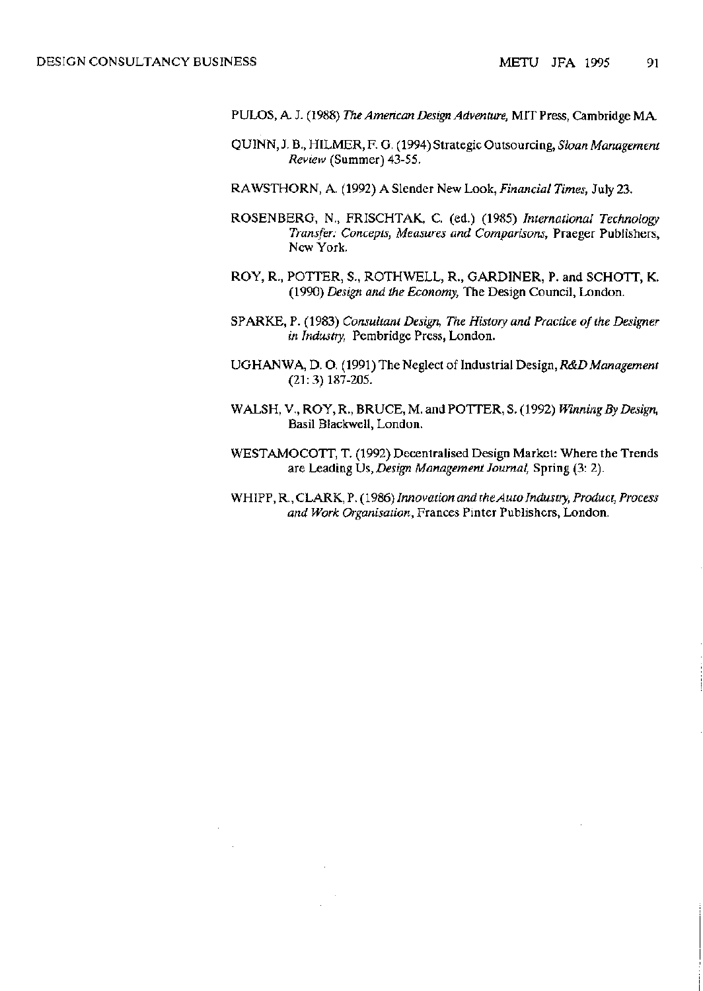$\sim$   $\sim$ 

- PULOS, A J. (1988) *The American Design Adventure,* MIT Press, Cambridge MA
- QUINN, J. B., HILMER, F. G (1994) Strategic Outsourcing, *Sloan Management Review* (Summer) 43-55.
- RAWSTHORN, A. (1992) A Slender New Look, *Financial Times,* July 23.
- ROSENBERG, N., FRISCHTAK, C (ed.) (1985) *International Technology Transfer: Concepts, Measures and Comparisons,* Praeger Publishers, New York.
- ROY, R., POTTER, S., ROTHWELL, R., GARDINER, P. and SCHOTT, K. (1990) *Design and the Economy,* The Design Council, London.
- SPARKE, P. (1983) *Consultant Design, The History and Practice of the Designer in Industry,* Pembridge Press, London.
- UGHANWA, D. O. (1991) The Neglect of Industrial Design, *R&D Management*  (21:3)187-205.
- WALSH, V., ROY, R., BRUCE, M. and POTTER, S. (1992) *Winning By Design,*  Basil Blackwell, London.
- WESTAMOCOTT, T. (1992) Decentralised Design Market: Where the Trends are Leading Us, *Design Management Journal,* Spring (3: 2).
- WHIPP, R., CLARK, P. (1986) *Innovation and the Auto Industry, Product, Process and Work Organisation,* Frances Pinter Publishers, London.